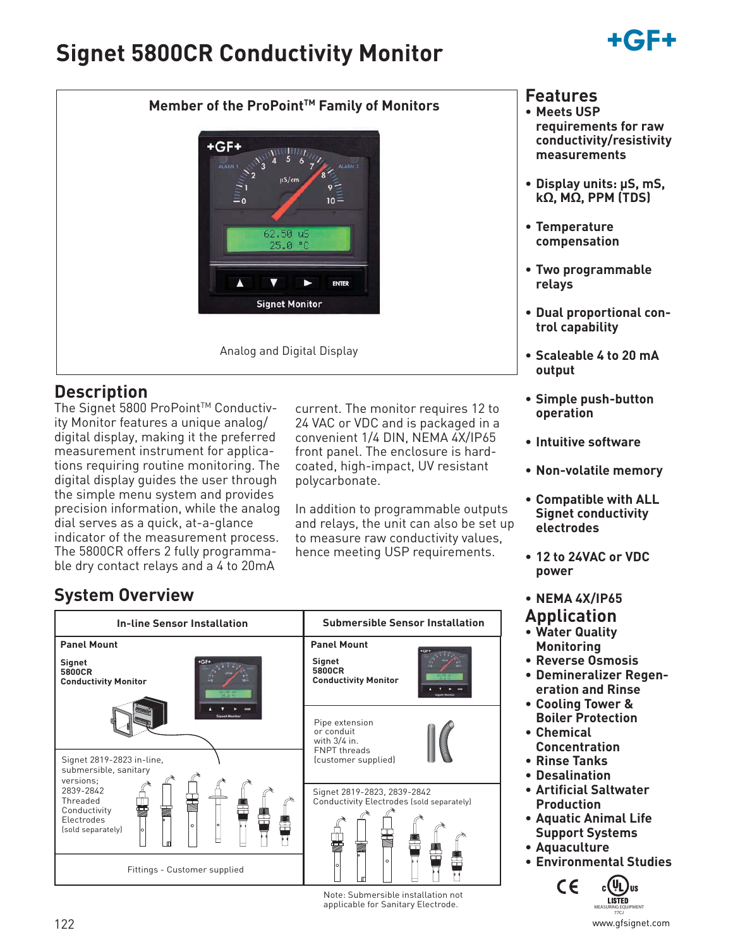# **Signet 5800CR Conductivity Monitor**





## **Description**

The Signet 5800 ProPoint™ Conductivity Monitor features a unique analog/ digital display, making it the preferred measurement instrument for applications requiring routine monitoring. The digital display guides the user through the simple menu system and provides precision information, while the analog dial serves as a quick, at-a-glance indicator of the measurement process. The 5800CR offers 2 fully programmable dry contact relays and a 4 to 20mA

current. The monitor requires 12 to 24 VAC or VDC and is packaged in a convenient 1/4 DIN, NEMA 4X/IP65 front panel. The enclosure is hardcoated, high-impact, UV resistant polycarbonate.

In addition to programmable outputs and relays, the unit can also be set up to measure raw conductivity values, hence meeting USP requirements.

# **System Overview**

| <b>In-line Sensor Installation</b>                                                                                             | <b>Submersible Sensor Installation</b>                                                         |  |
|--------------------------------------------------------------------------------------------------------------------------------|------------------------------------------------------------------------------------------------|--|
| <b>Panel Mount</b><br>Signet<br>5800CR<br><b>Conductivity Monitor</b>                                                          | <b>Panel Mount</b><br><b>Signet</b><br>5800CR<br><b>Conductivity Monitor</b>                   |  |
| Signet 2819-2823 in-line,<br>submersible, sanitary<br>versions;                                                                | Pipe extension<br>or conduit<br>with 3/4 in.<br><b>FNPT threads</b><br>(customer supplied)     |  |
| 2839-2842<br>Threaded<br>Conductivity<br>Electrodes<br>$\circ$<br>(sold separately)<br>$\circ$<br>Fittings - Customer supplied | Signet 2819-2823, 2839-2842<br>Conductivity Electrodes (sold separately)<br>$\circ$<br>$\circ$ |  |

Note: Submersible installation not applicable for Sanitary Electrode.

## **Features**

- **Meets USP requirements for raw conductivity/resistivity measurements**
- **Display units: µS, mS, kΩ, MΩ, PPM (TDS)**
- **Temperature compensation**
- **Two programmable relays**
- **Dual proportional control capability**
- **Scaleable 4 to 20 mA output**
- **Simple push-button operation**
- **Intuitive software**
- **Non-volatile memory**
- **Compatible with ALL Signet conductivity electrodes**
- **12 to 24VAC or VDC power**
- **NEMA 4X/IP65**

# **Application**

- **Water Quality Monitoring**
- **Reverse Osmosis**
- **Demineralizer Regeneration and Rinse**
- **Cooling Tower & Boiler Protection**
- **Chemical Concentration**
- **Rinse Tanks**
- **Desalination**
- **Artificial Saltwater Production**
- **Aquatic Animal Life Support Systems**
- **Aquaculture**
	- **Environmental Studies**